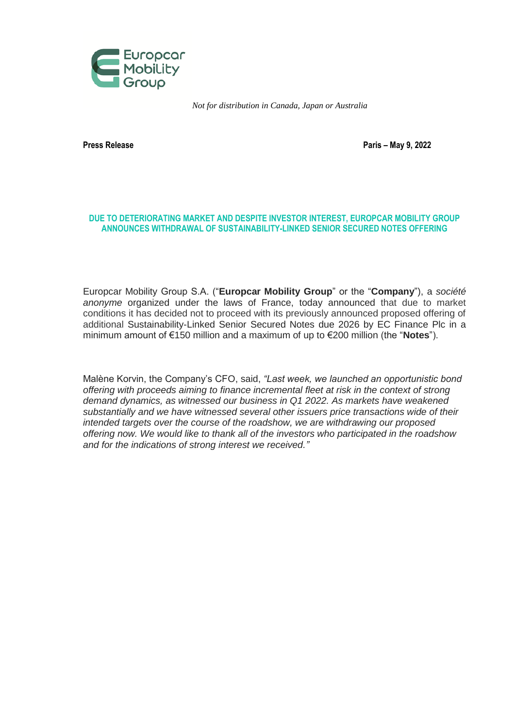

*Not for distribution in Canada, Japan or Australia*

**Press Release Paris – May 9, 2022**

# **DUE TO DETERIORATING MARKET AND DESPITE INVESTOR INTEREST, EUROPCAR MOBILITY GROUP ANNOUNCES WITHDRAWAL OF SUSTAINABILITY-LINKED SENIOR SECURED NOTES OFFERING**

Europcar Mobility Group S.A. ("**Europcar Mobility Group**" or the "**Company**"), a *société anonyme* organized under the laws of France, today announced that due to market conditions it has decided not to proceed with its previously announced proposed offering of additional Sustainability-Linked Senior Secured Notes due 2026 by EC Finance Plc in a minimum amount of €150 million and a maximum of up to €200 million (the "**Notes**").

Malène Korvin, the Company's CFO, said, *"Last week, we launched an opportunistic bond offering with proceeds aiming to finance incremental fleet at risk in the context of strong demand dynamics, as witnessed our business in Q1 2022. As markets have weakened substantially and we have witnessed several other issuers price transactions wide of their intended targets over the course of the roadshow, we are withdrawing our proposed offering now. We would like to thank all of the investors who participated in the roadshow and for the indications of strong interest we received."*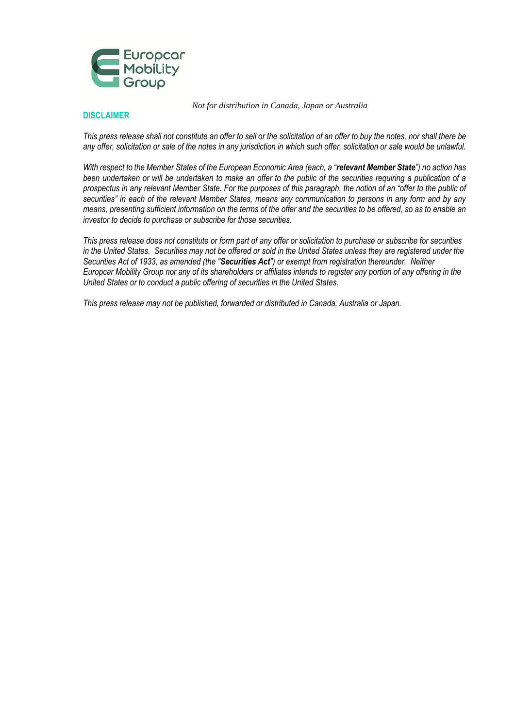

#### *Not for distribution in Canada, Japan or Australia*

### **DISCLAIMER**

*This press release shall not constitute an offer to sell or the solicitation of an offer to buy the notes, nor shall there be any offer, solicitation or sale of the notes in any jurisdiction in which such offer, solicitation or sale would be unlawful.*

*With respect to the Member States of the European Economic Area (each, a "relevant Member State") no action has been undertaken or will be undertaken to make an offer to the public of the securities requiring a publication of a prospectus in any relevant Member State. For the purposes of this paragraph, the notion of an "offer to the public of securities" in each of the relevant Member States, means any communication to persons in any form and by any means, presenting sufficient information on the terms of the offer and the securities to be offered, so as to enable an investor to decide to purchase or subscribe for those securities.*

*This press release does not constitute or form part of any offer or solicitation to purchase or subscribe for securities in the United States. Securities may not be offered or sold in the United States unless they are registered under the Securities Act of 1933, as amended (the "Securities Act") or exempt from registration thereunder. Neither Europcar Mobility Group nor any of its shareholders or affiliates intends to register any portion of any offering in the United States or to conduct a public offering of securities in the United States.* 

*This press release may not be published, forwarded or distributed in Canada, Australia or Japan.*